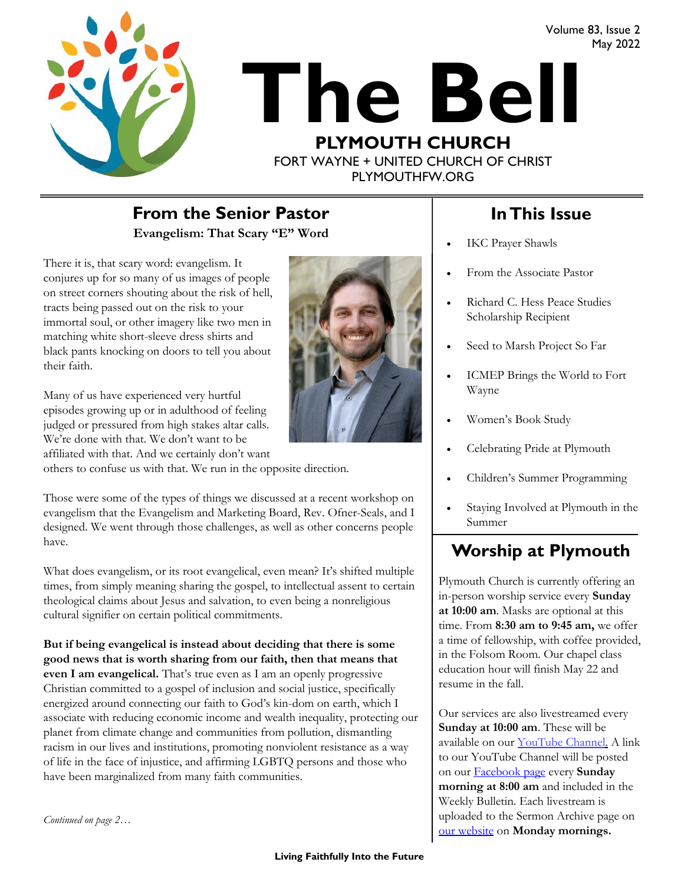Volume 83, Issue 2 May 2022





PLYMOUTHFW.ORG

### **Evangelism: That Scary "E" Word From the Senior Pastor In This Issue**

There it is, that scary word: evangelism. It conjures up for so many of us images of people on street corners shouting about the risk of hell, tracts being passed out on the risk to your immortal soul, or other imagery like two men in matching white short-sleeve dress shirts and black pants knocking on doors to tell you about their faith.

Many of us have experienced very hurtful episodes growing up or in adulthood of feeling judged or pressured from high stakes altar calls. We're done with that. We don't want to be affiliated with that. And we certainly don't want

others to confuse us with that. We run in the opposite direction.

Those were some of the types of things we discussed at a recent workshop on evangelism that the Evangelism and Marketing Board, Rev. Ofner-Seals, and I designed. We went through those challenges, as well as other concerns people have.

What does evangelism, or its root evangelical, even mean? It's shifted multiple times, from simply meaning sharing the gospel, to intellectual assent to certain theological claims about Jesus and salvation, to even being a nonreligious cultural signifier on certain political commitments.

**But if being evangelical is instead about deciding that there is some good news that is worth sharing from our faith, then that means that even I am evangelical.** That's true even as I am an openly progressive Christian committed to a gospel of inclusion and social justice, specifically energized around connecting our faith to God's kin-dom on earth, which I associate with reducing economic income and wealth inequality, protecting our planet from climate change and communities from pollution, dismantling racism in our lives and institutions, promoting nonviolent resistance as a way of life in the face of injustice, and affirming LGBTQ persons and those who have been marginalized from many faith communities.

- IKC Prayer Shawls
- From the Associate Pastor
- Richard C. Hess Peace Studies Scholarship Recipient
- Seed to Marsh Project So Far
- ICMEP Brings the World to Fort Wayne
- Women's Book Study
- Celebrating Pride at Plymouth
- Children's Summer Programming
- Staying Involved at Plymouth in the Summer

### **Worship at Plymouth**

Plymouth Church is currently offering an in-person worship service every **Sunday at 10:00 am**. Masks are optional at this time. From **8:30 am to 9:45 am,** we offer a time of fellowship, with coffee provided, in the Folsom Room. Our chapel class education hour will finish May 22 and resume in the fall.

Our services are also livestreamed every **Sunday at 10:00 am**. These will be available on our [YouTube Channel.](https://www.youtube.com/plymouthchurchfw) A link to our YouTube Channel will be posted on our [Facebook page](https://www.facebook.com/plymouthchurchfw) every **Sunday morning at 8:00 am** and included in the Weekly Bulletin. Each livestream is uploaded to the Sermon Archive page on [our website](https://www.plymouthfw.org/sermon-archive) on **Monday mornings.** 

*Continued on page 2…*

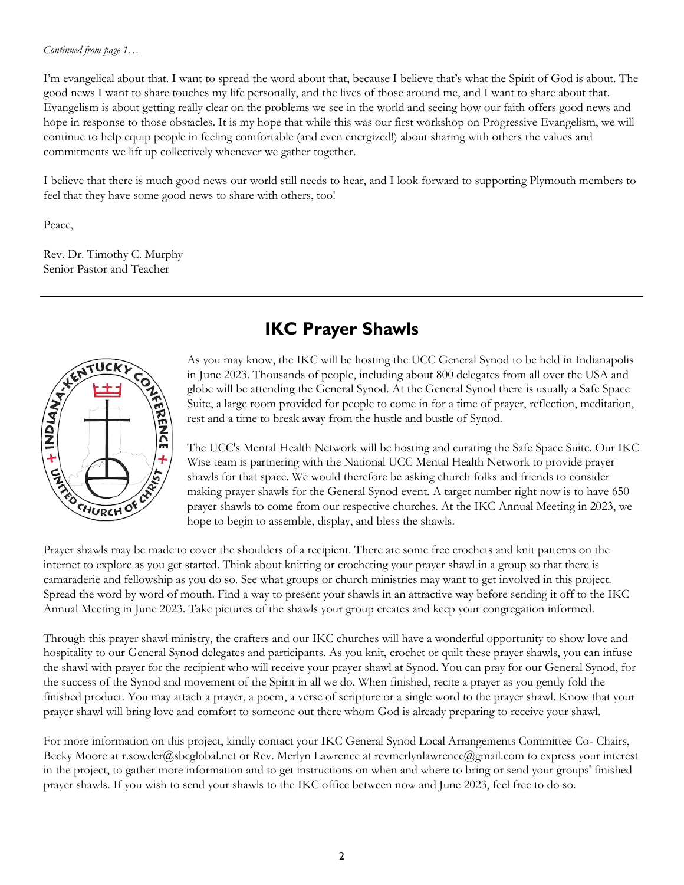#### *Continued from page 1…*

I'm evangelical about that. I want to spread the word about that, because I believe that's what the Spirit of God is about. The good news I want to share touches my life personally, and the lives of those around me, and I want to share about that. Evangelism is about getting really clear on the problems we see in the world and seeing how our faith offers good news and hope in response to those obstacles. It is my hope that while this was our first workshop on Progressive Evangelism, we will continue to help equip people in feeling comfortable (and even energized!) about sharing with others the values and commitments we lift up collectively whenever we gather together.

I believe that there is much good news our world still needs to hear, and I look forward to supporting Plymouth members to feel that they have some good news to share with others, too!

Peace,

Rev. Dr. Timothy C. Murphy Senior Pastor and Teacher



## **IKC Prayer Shawls**

As you may know, the IKC will be hosting the UCC General Synod to be held in Indianapolis in June 2023. Thousands of people, including about 800 delegates from all over the USA and globe will be attending the General Synod. At the General Synod there is usually a Safe Space Suite, a large room provided for people to come in for a time of prayer, reflection, meditation, rest and a time to break away from the hustle and bustle of Synod.

The UCC's Mental Health Network will be hosting and curating the Safe Space Suite. Our IKC Wise team is partnering with the National UCC Mental Health Network to provide prayer shawls for that space. We would therefore be asking church folks and friends to consider making prayer shawls for the General Synod event. A target number right now is to have 650 prayer shawls to come from our respective churches. At the IKC Annual Meeting in 2023, we hope to begin to assemble, display, and bless the shawls.

Prayer shawls may be made to cover the shoulders of a recipient. There are some free crochets and knit patterns on the internet to explore as you get started. Think about knitting or crocheting your prayer shawl in a group so that there is camaraderie and fellowship as you do so. See what groups or church ministries may want to get involved in this project. Spread the word by word of mouth. Find a way to present your shawls in an attractive way before sending it off to the IKC Annual Meeting in June 2023. Take pictures of the shawls your group creates and keep your congregation informed.

Through this prayer shawl ministry, the crafters and our IKC churches will have a wonderful opportunity to show love and hospitality to our General Synod delegates and participants. As you knit, crochet or quilt these prayer shawls, you can infuse the shawl with prayer for the recipient who will receive your prayer shawl at Synod. You can pray for our General Synod, for the success of the Synod and movement of the Spirit in all we do. When finished, recite a prayer as you gently fold the finished product. You may attach a prayer, a poem, a verse of scripture or a single word to the prayer shawl. Know that your prayer shawl will bring love and comfort to someone out there whom God is already preparing to receive your shawl.

For more information on this project, kindly contact your IKC General Synod Local Arrangements Committee Co- Chairs, Becky Moore at r.sowder@sbcglobal.net or Rev. Merlyn Lawrence at revmerlynlawrence@gmail.com to express your interest in the project, to gather more information and to get instructions on when and where to bring or send your groups' finished prayer shawls. If you wish to send your shawls to the IKC office between now and June 2023, feel free to do so.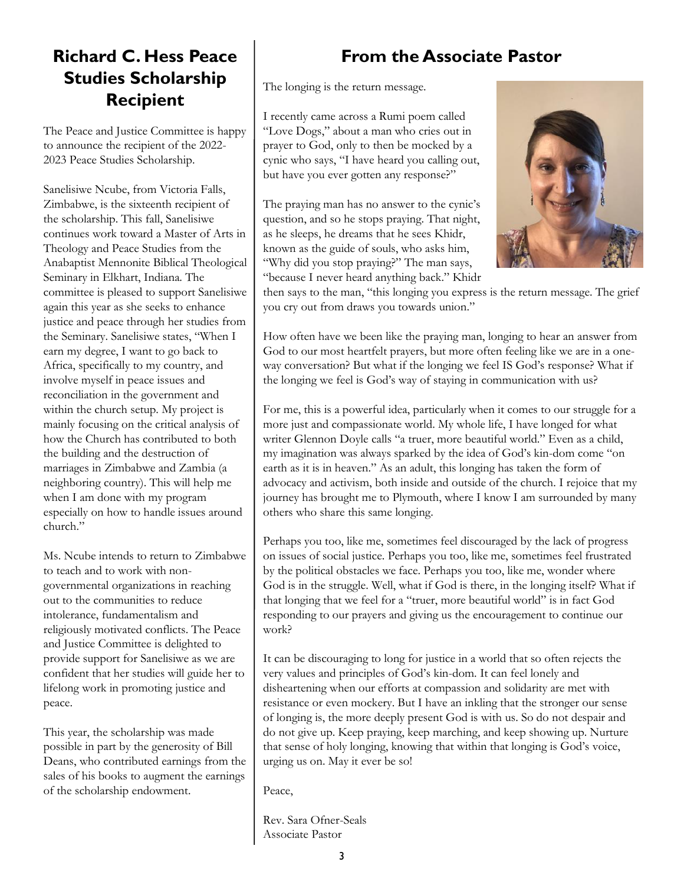## **Richard C. Hess Peace Studies Scholarship Recipient**

The Peace and Justice Committee is happy to announce the recipient of the 2022- 2023 Peace Studies Scholarship.

Sanelisiwe Ncube, from Victoria Falls, Zimbabwe, is the sixteenth recipient of the scholarship. This fall, Sanelisiwe continues work toward a Master of Arts in Theology and Peace Studies from the Anabaptist Mennonite Biblical Theological Seminary in Elkhart, Indiana. The committee is pleased to support Sanelisiwe again this year as she seeks to enhance justice and peace through her studies from the Seminary. Sanelisiwe states, "When I earn my degree, I want to go back to Africa, specifically to my country, and involve myself in peace issues and reconciliation in the government and within the church setup. My project is mainly focusing on the critical analysis of how the Church has contributed to both the building and the destruction of marriages in Zimbabwe and Zambia (a neighboring country). This will help me when I am done with my program especially on how to handle issues around church."

Ms. Ncube intends to return to Zimbabwe to teach and to work with nongovernmental organizations in reaching out to the communities to reduce intolerance, fundamentalism and religiously motivated conflicts. The Peace and Justice Committee is delighted to provide support for Sanelisiwe as we are confident that her studies will guide her to lifelong work in promoting justice and peace.

This year, the scholarship was made possible in part by the generosity of Bill Deans, who contributed earnings from the sales of his books to augment the earnings of the scholarship endowment.

## **From the Associate Pastor**

The longing is the return message.

I recently came across a Rumi poem called "Love Dogs," about a man who cries out in prayer to God, only to then be mocked by a cynic who says, "I have heard you calling out, but have you ever gotten any response?"

The praying man has no answer to the cynic's question, and so he stops praying. That night, as he sleeps, he dreams that he sees Khidr, known as the guide of souls, who asks him, "Why did you stop praying?" The man says, "because I never heard anything back." Khidr



then says to the man, "this longing you express is the return message. The grief you cry out from draws you towards union."

How often have we been like the praying man, longing to hear an answer from God to our most heartfelt prayers, but more often feeling like we are in a oneway conversation? But what if the longing we feel IS God's response? What if the longing we feel is God's way of staying in communication with us?

For me, this is a powerful idea, particularly when it comes to our struggle for a more just and compassionate world. My whole life, I have longed for what writer Glennon Doyle calls "a truer, more beautiful world." Even as a child, my imagination was always sparked by the idea of God's kin-dom come "on earth as it is in heaven." As an adult, this longing has taken the form of advocacy and activism, both inside and outside of the church. I rejoice that my journey has brought me to Plymouth, where I know I am surrounded by many others who share this same longing.

Perhaps you too, like me, sometimes feel discouraged by the lack of progress on issues of social justice. Perhaps you too, like me, sometimes feel frustrated by the political obstacles we face. Perhaps you too, like me, wonder where God is in the struggle. Well, what if God is there, in the longing itself? What if that longing that we feel for a "truer, more beautiful world" is in fact God responding to our prayers and giving us the encouragement to continue our work?

It can be discouraging to long for justice in a world that so often rejects the very values and principles of God's kin-dom. It can feel lonely and disheartening when our efforts at compassion and solidarity are met with resistance or even mockery. But I have an inkling that the stronger our sense of longing is, the more deeply present God is with us. So do not despair and do not give up. Keep praying, keep marching, and keep showing up. Nurture that sense of holy longing, knowing that within that longing is God's voice, urging us on. May it ever be so!

Peace,

Rev. Sara Ofner-Seals Associate Pastor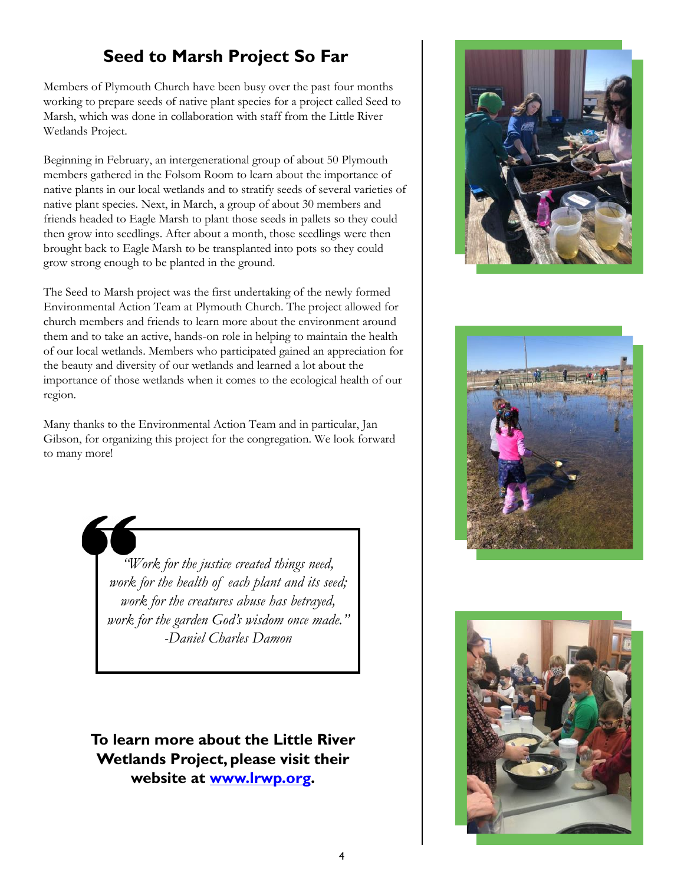## **Seed to Marsh Project So Far**

Members of Plymouth Church have been busy over the past four months working to prepare seeds of native plant species for a project called Seed to Marsh, which was done in collaboration with staff from the Little River Wetlands Project.

Beginning in February, an intergenerational group of about 50 Plymouth members gathered in the Folsom Room to learn about the importance of native plants in our local wetlands and to stratify seeds of several varieties of native plant species. Next, in March, a group of about 30 members and friends headed to Eagle Marsh to plant those seeds in pallets so they could then grow into seedlings. After about a month, those seedlings were then brought back to Eagle Marsh to be transplanted into pots so they could grow strong enough to be planted in the ground.

The Seed to Marsh project was the first undertaking of the newly formed Environmental Action Team at Plymouth Church. The project allowed for church members and friends to learn more about the environment around them and to take an active, hands-on role in helping to maintain the health of our local wetlands. Members who participated gained an appreciation for the beauty and diversity of our wetlands and learned a lot about the importance of those wetlands when it comes to the ecological health of our region.

Many thanks to the Environmental Action Team and in particular, Jan Gibson, for organizing this project for the congregation. We look forward to many more!

> *"Work for the justice created things need, work for the health of each plant and its seed; work for the creatures abuse has betrayed, work for the garden God's wisdom once made." -Daniel Charles Damon*

**To learn more about the Little River Wetlands Project, please visit their website at [www.lrwp.org.](http://www.lrwp.org)**





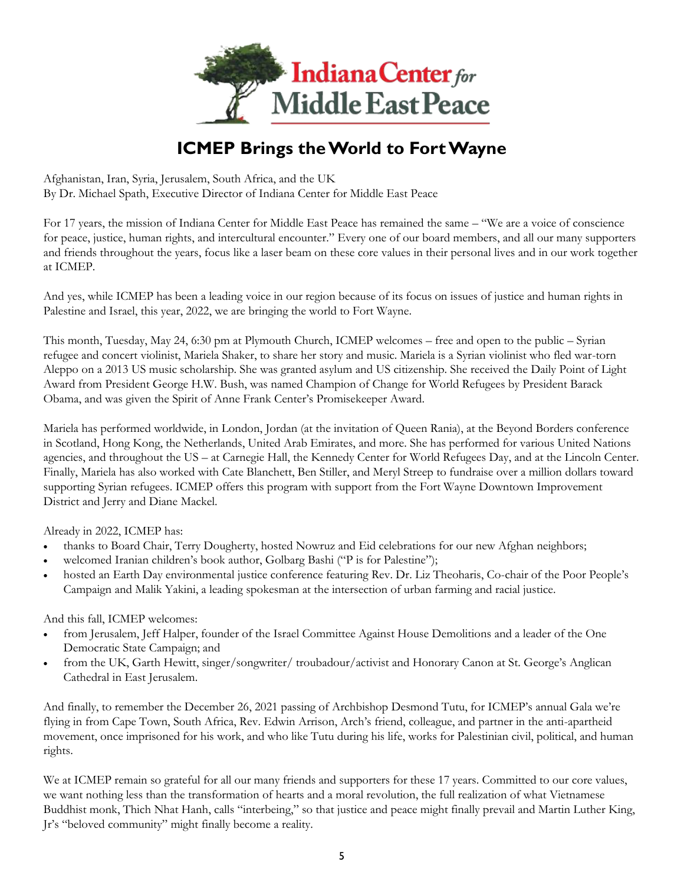

# **ICMEP Brings the World to Fort Wayne**

Afghanistan, Iran, Syria, Jerusalem, South Africa, and the UK By Dr. Michael Spath, Executive Director of Indiana Center for Middle East Peace

For 17 years, the mission of Indiana Center for Middle East Peace has remained the same – "We are a voice of conscience for peace, justice, human rights, and intercultural encounter." Every one of our board members, and all our many supporters and friends throughout the years, focus like a laser beam on these core values in their personal lives and in our work together at ICMEP.

And yes, while ICMEP has been a leading voice in our region because of its focus on issues of justice and human rights in Palestine and Israel, this year, 2022, we are bringing the world to Fort Wayne.

This month, Tuesday, May 24, 6:30 pm at Plymouth Church, ICMEP welcomes – free and open to the public – Syrian refugee and concert violinist, Mariela Shaker, to share her story and music. Mariela is a Syrian violinist who fled war-torn Aleppo on a 2013 US music scholarship. She was granted asylum and US citizenship. She received the Daily Point of Light Award from President George H.W. Bush, was named Champion of Change for World Refugees by President Barack Obama, and was given the Spirit of Anne Frank Center's Promisekeeper Award.

Mariela has performed worldwide, in London, Jordan (at the invitation of Queen Rania), at the Beyond Borders conference in Scotland, Hong Kong, the Netherlands, United Arab Emirates, and more. She has performed for various United Nations agencies, and throughout the US – at Carnegie Hall, the Kennedy Center for World Refugees Day, and at the Lincoln Center. Finally, Mariela has also worked with Cate Blanchett, Ben Stiller, and Meryl Streep to fundraise over a million dollars toward supporting Syrian refugees. ICMEP offers this program with support from the Fort Wayne Downtown Improvement District and Jerry and Diane Mackel.

Already in 2022, ICMEP has:

- thanks to Board Chair, Terry Dougherty, hosted Nowruz and Eid celebrations for our new Afghan neighbors;
- welcomed Iranian children's book author, Golbarg Bashi ("P is for Palestine");
- hosted an Earth Day environmental justice conference featuring Rev. Dr. Liz Theoharis, Co-chair of the Poor People's Campaign and Malik Yakini, a leading spokesman at the intersection of urban farming and racial justice.

And this fall, ICMEP welcomes:

- from Jerusalem, Jeff Halper, founder of the Israel Committee Against House Demolitions and a leader of the One Democratic State Campaign; and
- from the UK, Garth Hewitt, singer/songwriter/ troubadour/activist and Honorary Canon at St. George's Anglican Cathedral in East Jerusalem.

And finally, to remember the December 26, 2021 passing of Archbishop Desmond Tutu, for ICMEP's annual Gala we're flying in from Cape Town, South Africa, Rev. Edwin Arrison, Arch's friend, colleague, and partner in the anti-apartheid movement, once imprisoned for his work, and who like Tutu during his life, works for Palestinian civil, political, and human rights.

We at ICMEP remain so grateful for all our many friends and supporters for these 17 years. Committed to our core values, we want nothing less than the transformation of hearts and a moral revolution, the full realization of what Vietnamese Buddhist monk, Thich Nhat Hanh, calls "interbeing," so that justice and peace might finally prevail and Martin Luther King, Jr's "beloved community" might finally become a reality.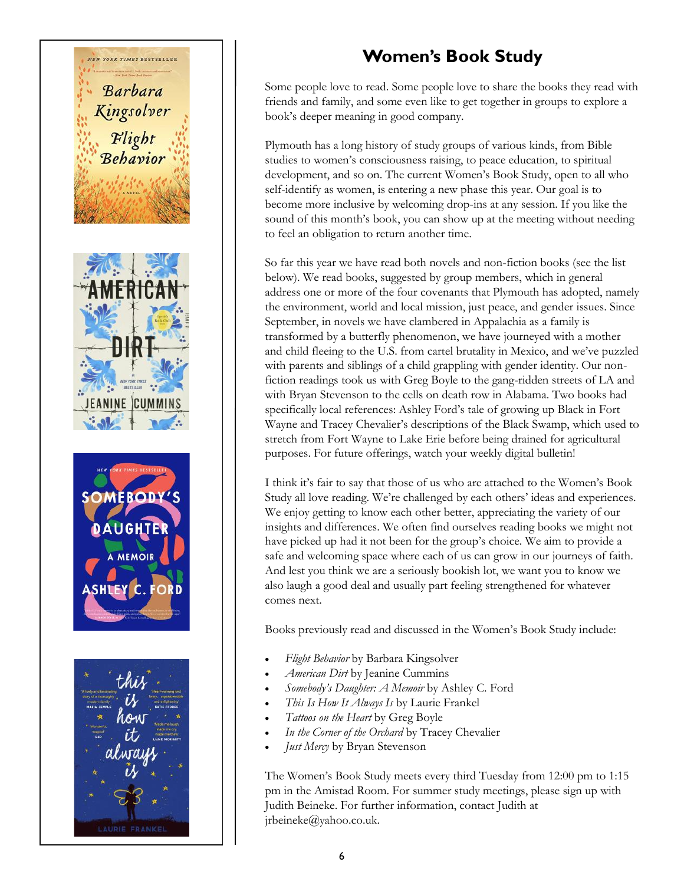

## **Women's Book Study**

Some people love to read. Some people love to share the books they read with friends and family, and some even like to get together in groups to explore a book's deeper meaning in good company.

Plymouth has a long history of study groups of various kinds, from Bible studies to women's consciousness raising, to peace education, to spiritual development, and so on. The current Women's Book Study, open to all who self-identify as women, is entering a new phase this year. Our goal is to become more inclusive by welcoming drop-ins at any session. If you like the sound of this month's book, you can show up at the meeting without needing to feel an obligation to return another time.

So far this year we have read both novels and non-fiction books (see the list below). We read books, suggested by group members, which in general address one or more of the four covenants that Plymouth has adopted, namely the environment, world and local mission, just peace, and gender issues. Since September, in novels we have clambered in Appalachia as a family is transformed by a butterfly phenomenon, we have journeyed with a mother and child fleeing to the U.S. from cartel brutality in Mexico, and we've puzzled with parents and siblings of a child grappling with gender identity. Our nonfiction readings took us with Greg Boyle to the gang-ridden streets of LA and with Bryan Stevenson to the cells on death row in Alabama. Two books had specifically local references: Ashley Ford's tale of growing up Black in Fort Wayne and Tracey Chevalier's descriptions of the Black Swamp, which used to stretch from Fort Wayne to Lake Erie before being drained for agricultural purposes. For future offerings, watch your weekly digital bulletin!

I think it's fair to say that those of us who are attached to the Women's Book Study all love reading. We're challenged by each others' ideas and experiences. We enjoy getting to know each other better, appreciating the variety of our insights and differences. We often find ourselves reading books we might not have picked up had it not been for the group's choice. We aim to provide a safe and welcoming space where each of us can grow in our journeys of faith. And lest you think we are a seriously bookish lot, we want you to know we also laugh a good deal and usually part feeling strengthened for whatever comes next.

Books previously read and discussed in the Women's Book Study include:

- *Flight Behavior* by Barbara Kingsolver
- *American Dirt* by Jeanine Cummins
- *Somebody's Daughter: A Memoir* by Ashley C. Ford
- *This Is How It Always Is* by Laurie Frankel
- *Tattoos on the Heart* by Greg Boyle
- *In the Corner of the Orchard* by Tracey Chevalier
- *Just Mercy* by Bryan Stevenson

The Women's Book Study meets every third Tuesday from 12:00 pm to 1:15 pm in the Amistad Room. For summer study meetings, please sign up with Judith Beineke. For further information, contact Judith at jrbeineke@yahoo.co.uk.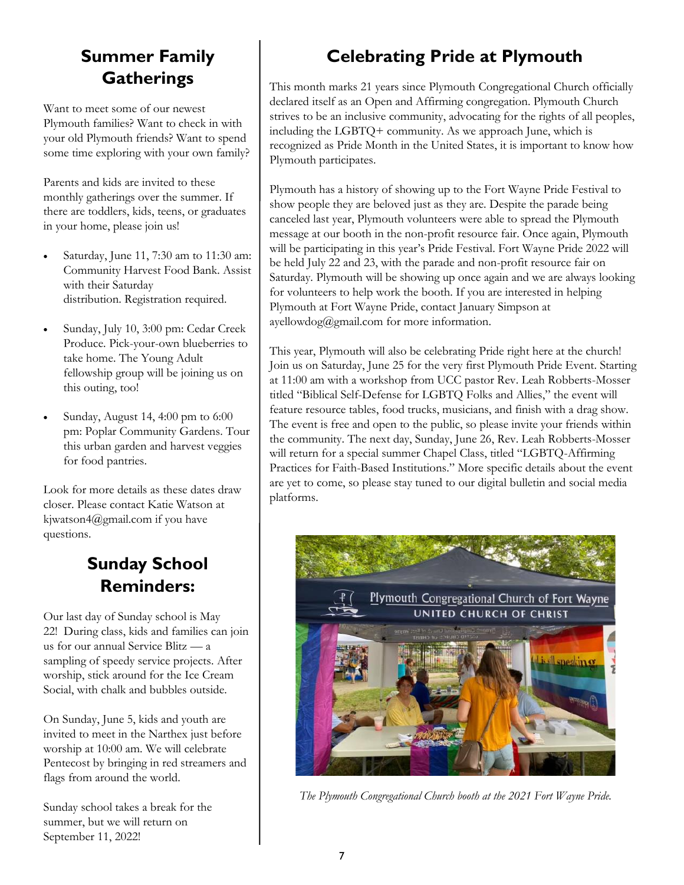## **Summer Family Gatherings**

Want to meet some of our newest Plymouth families? Want to check in with your old Plymouth friends? Want to spend some time exploring with your own family?

Parents and kids are invited to these monthly gatherings over the summer. If there are toddlers, kids, teens, or graduates in your home, please join us!

- Saturday, June 11, 7:30 am to 11:30 am: Community Harvest Food Bank. Assist with their Saturday distribution. Registration required.
- Sunday, July 10, 3:00 pm: Cedar Creek Produce. Pick-your-own blueberries to take home. The Young Adult fellowship group will be joining us on this outing, too!
- Sunday, August 14, 4:00 pm to 6:00 pm: Poplar Community Gardens. Tour this urban garden and harvest veggies for food pantries.

Look for more details as these dates draw closer. Please contact Katie Watson at kjwatson4@gmail.com if you have questions.

### **Sunday School Reminders:**

Our last day of Sunday school is May 22! During class, kids and families can join us for our annual Service Blitz — a sampling of speedy service projects. After worship, stick around for the Ice Cream Social, with chalk and bubbles outside.

On Sunday, June 5, kids and youth are invited to meet in the Narthex just before worship at 10:00 am. We will celebrate Pentecost by bringing in red streamers and flags from around the world.

Sunday school takes a break for the summer, but we will return on September 11, 2022!

# **Celebrating Pride at Plymouth**

This month marks 21 years since Plymouth Congregational Church officially declared itself as an Open and Affirming congregation. Plymouth Church strives to be an inclusive community, advocating for the rights of all peoples, including the LGBTQ+ community. As we approach June, which is recognized as Pride Month in the United States, it is important to know how Plymouth participates.

Plymouth has a history of showing up to the Fort Wayne Pride Festival to show people they are beloved just as they are. Despite the parade being canceled last year, Plymouth volunteers were able to spread the Plymouth message at our booth in the non-profit resource fair. Once again, Plymouth will be participating in this year's Pride Festival. Fort Wayne Pride 2022 will be held July 22 and 23, with the parade and non-profit resource fair on Saturday. Plymouth will be showing up once again and we are always looking for volunteers to help work the booth. If you are interested in helping Plymouth at Fort Wayne Pride, contact January Simpson at  $a$ yellowdog@gmail.com for more information.

This year, Plymouth will also be celebrating Pride right here at the church! Join us on Saturday, June 25 for the very first Plymouth Pride Event. Starting at 11:00 am with a workshop from UCC pastor Rev. Leah Robberts-Mosser titled "Biblical Self-Defense for LGBTQ Folks and Allies," the event will feature resource tables, food trucks, musicians, and finish with a drag show. The event is free and open to the public, so please invite your friends within the community. The next day, Sunday, June 26, Rev. Leah Robberts-Mosser will return for a special summer Chapel Class, titled "LGBTQ-Affirming Practices for Faith-Based Institutions." More specific details about the event are yet to come, so please stay tuned to our digital bulletin and social media platforms.



*The Plymouth Congregational Church booth at the 2021 Fort Wayne Pride.*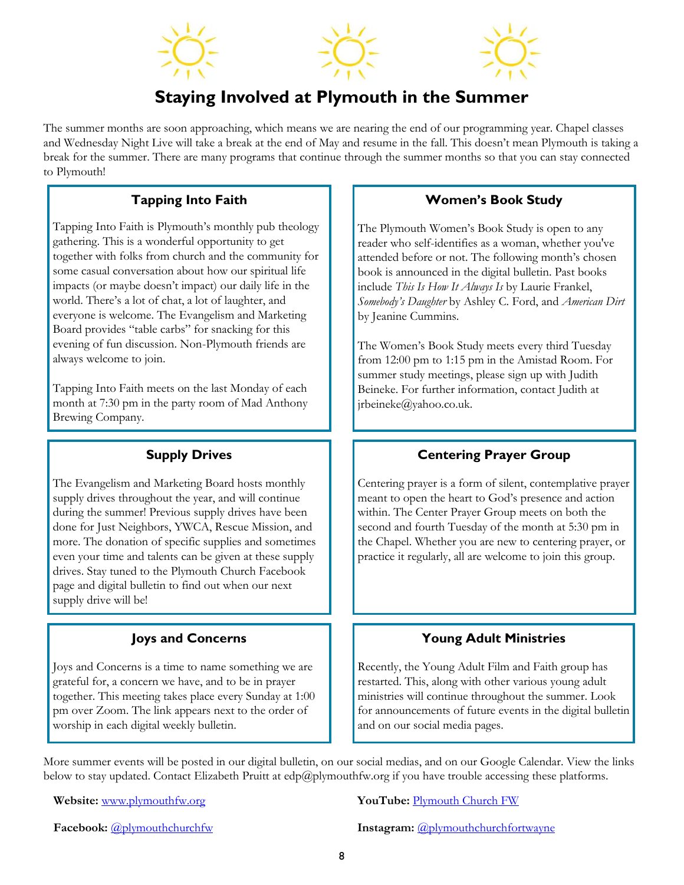

### **Staying Involved at Plymouth in the Summer**

The summer months are soon approaching, which means we are nearing the end of our programming year. Chapel classes and Wednesday Night Live will take a break at the end of May and resume in the fall. This doesn't mean Plymouth is taking a break for the summer. There are many programs that continue through the summer months so that you can stay connected to Plymouth!

#### **Tapping Into Faith**

Tapping Into Faith is Plymouth's monthly pub theology gathering. This is a wonderful opportunity to get together with folks from church and the community for some casual conversation about how our spiritual life impacts (or maybe doesn't impact) our daily life in the world. There's a lot of chat, a lot of laughter, and everyone is welcome. The Evangelism and Marketing Board provides "table carbs" for snacking for this evening of fun discussion. Non-Plymouth friends are always welcome to join.

Tapping Into Faith meets on the last Monday of each month at 7:30 pm in the party room of Mad Anthony Brewing Company.

#### **Supply Drives**

The Evangelism and Marketing Board hosts monthly supply drives throughout the year, and will continue during the summer! Previous supply drives have been done for Just Neighbors, YWCA, Rescue Mission, and more. The donation of specific supplies and sometimes even your time and talents can be given at these supply drives. Stay tuned to the Plymouth Church Facebook page and digital bulletin to find out when our next supply drive will be!

#### **Joys and Concerns**

Joys and Concerns is a time to name something we are grateful for, a concern we have, and to be in prayer together. This meeting takes place every Sunday at 1:00 pm over Zoom. The link appears next to the order of worship in each digital weekly bulletin.

#### **Women's Book Study**

The Plymouth Women's Book Study is open to any reader who self-identifies as a woman, whether you've attended before or not. The following month's chosen book is announced in the digital bulletin. Past books include *This Is How It Always Is* by Laurie Frankel, *Somebody's Daughter* by Ashley C. Ford, and *American Dirt*  by Jeanine Cummins.

The Women's Book Study meets every third Tuesday from 12:00 pm to 1:15 pm in the Amistad Room. For summer study meetings, please sign up with Judith Beineke. For further information, contact Judith at jrbeineke@yahoo.co.uk.

#### **Centering Prayer Group**

Centering prayer is a form of silent, contemplative prayer meant to open the heart to God's presence and action within. The Center Prayer Group meets on both the second and fourth Tuesday of the month at 5:30 pm in the Chapel. Whether you are new to centering prayer, or practice it regularly, all are welcome to join this group.

#### **Young Adult Ministries**

Recently, the Young Adult Film and Faith group has restarted. This, along with other various young adult ministries will continue throughout the summer. Look for announcements of future events in the digital bulletin and on our social media pages.

More summer events will be posted in our digital bulletin, on our social medias, and on our Google Calendar. View the links below to stay updated. Contact Elizabeth Pruitt at edp@plymouthfw.org if you have trouble accessing these platforms.

**Website:**  $\frac{www.plymouthfw.org}{www.plymouthw.org}$  $\frac{www.plymouthfw.org}{www.plymouthw.org}$  $\frac{www.plymouthfw.org}{www.plymouthw.org}$  **YouTube: [Plymouth Church FW](https://www.youtube.com/channel/UC9jMD1iWFiibqBYykkW6E2w)** 

**Facebook:**  $\omega$ <sub>plymouthchurchfw</sub> **Instagram:**  $\omega$ <sub>plymouthchurchfortwayne</sub>